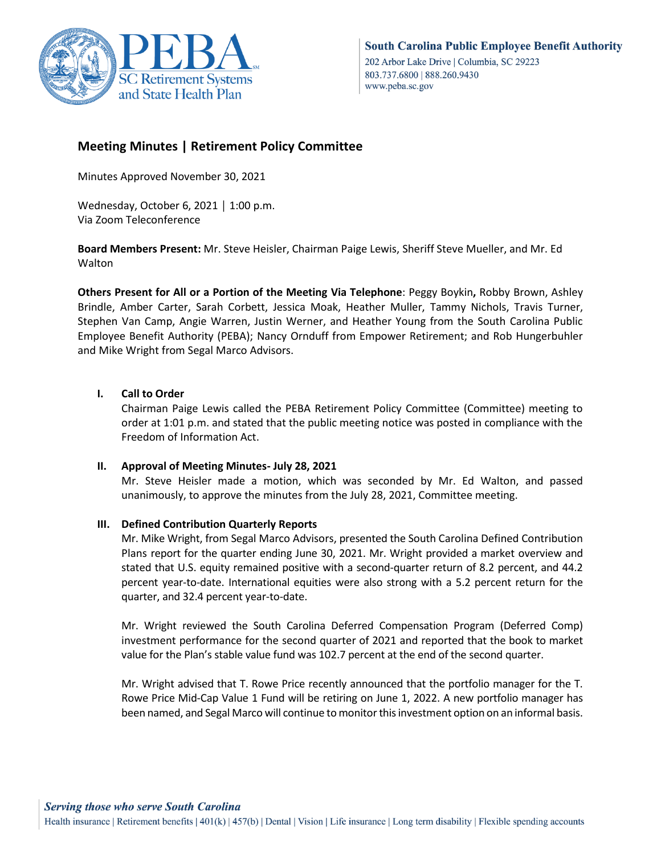

# **Meeting Minutes | Retirement Policy Committee**

Minutes Approved November 30, 2021

Wednesday, October 6, 2021 │ 1:00 p.m. Via Zoom Teleconference

**Board Members Present:** Mr. Steve Heisler, Chairman Paige Lewis, Sheriff Steve Mueller, and Mr. Ed Walton

**Others Present for All or a Portion of the Meeting Via Telephone**: Peggy Boykin**,** Robby Brown, Ashley Brindle, Amber Carter, Sarah Corbett, Jessica Moak, Heather Muller, Tammy Nichols, Travis Turner, Stephen Van Camp, Angie Warren, Justin Werner, and Heather Young from the South Carolina Public Employee Benefit Authority (PEBA); Nancy Ornduff from Empower Retirement; and Rob Hungerbuhler and Mike Wright from Segal Marco Advisors.

## **I. Call to Order**

Chairman Paige Lewis called the PEBA Retirement Policy Committee (Committee) meeting to order at 1:01 p.m. and stated that the public meeting notice was posted in compliance with the Freedom of Information Act.

**II. Approval of Meeting Minutes- July 28, 2021**

Mr. Steve Heisler made a motion, which was seconded by Mr. Ed Walton, and passed unanimously, to approve the minutes from the July 28, 2021, Committee meeting.

## **III. Defined Contribution Quarterly Reports**

Mr. Mike Wright, from Segal Marco Advisors, presented the South Carolina Defined Contribution Plans report for the quarter ending June 30, 2021. Mr. Wright provided a market overview and stated that U.S. equity remained positive with a second-quarter return of 8.2 percent, and 44.2 percent year-to-date. International equities were also strong with a 5.2 percent return for the quarter, and 32.4 percent year-to-date.

Mr. Wright reviewed the South Carolina Deferred Compensation Program (Deferred Comp) investment performance for the second quarter of 2021 and reported that the book to market value for the Plan's stable value fund was 102.7 percent at the end of the second quarter.

Mr. Wright advised that T. Rowe Price recently announced that the portfolio manager for the T. Rowe Price Mid-Cap Value 1 Fund will be retiring on June 1, 2022. A new portfolio manager has been named, and Segal Marco will continue to monitor this investment option on an informal basis.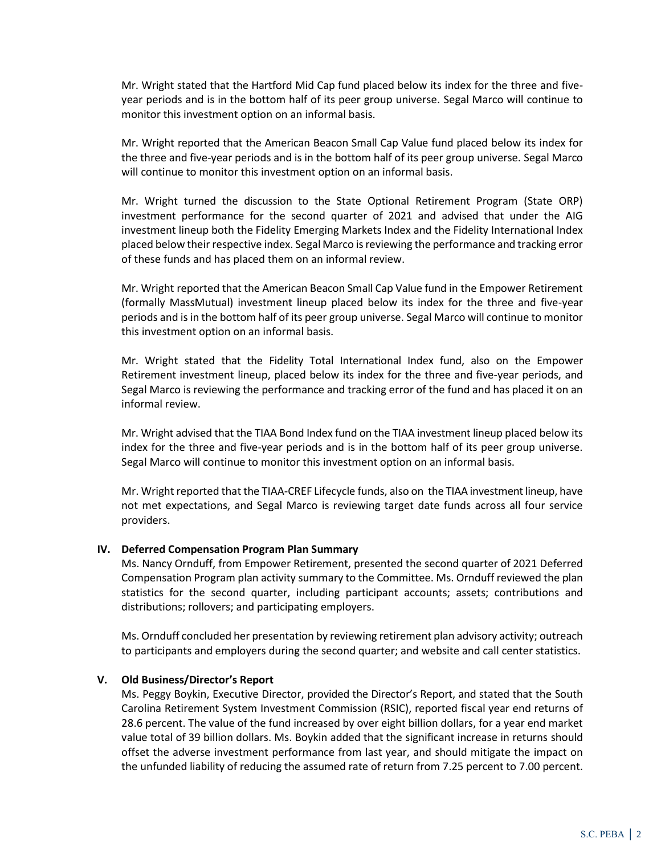Mr. Wright stated that the Hartford Mid Cap fund placed below its index for the three and fiveyear periods and is in the bottom half of its peer group universe. Segal Marco will continue to monitor this investment option on an informal basis.

Mr. Wright reported that the American Beacon Small Cap Value fund placed below its index for the three and five-year periods and is in the bottom half of its peer group universe. Segal Marco will continue to monitor this investment option on an informal basis.

Mr. Wright turned the discussion to the State Optional Retirement Program (State ORP) investment performance for the second quarter of 2021 and advised that under the AIG investment lineup both the Fidelity Emerging Markets Index and the Fidelity International Index placed below their respective index. Segal Marco is reviewing the performance and tracking error of these funds and has placed them on an informal review.

Mr. Wright reported that the American Beacon Small Cap Value fund in the Empower Retirement (formally MassMutual) investment lineup placed below its index for the three and five-year periods and is in the bottom half of its peer group universe. Segal Marco will continue to monitor this investment option on an informal basis.

Mr. Wright stated that the Fidelity Total International Index fund, also on the Empower Retirement investment lineup, placed below its index for the three and five-year periods, and Segal Marco is reviewing the performance and tracking error of the fund and has placed it on an informal review.

Mr. Wright advised that the TIAA Bond Index fund on the TIAA investment lineup placed below its index for the three and five-year periods and is in the bottom half of its peer group universe. Segal Marco will continue to monitor this investment option on an informal basis.

Mr. Wright reported that the TIAA-CREF Lifecycle funds, also on the TIAA investment lineup, have not met expectations, and Segal Marco is reviewing target date funds across all four service providers.

#### **IV. Deferred Compensation Program Plan Summary**

Ms. Nancy Ornduff, from Empower Retirement, presented the second quarter of 2021 Deferred Compensation Program plan activity summary to the Committee. Ms. Ornduff reviewed the plan statistics for the second quarter, including participant accounts; assets; contributions and distributions; rollovers; and participating employers.

Ms. Ornduff concluded her presentation by reviewing retirement plan advisory activity; outreach to participants and employers during the second quarter; and website and call center statistics.

#### **V. Old Business/Director's Report**

Ms. Peggy Boykin, Executive Director, provided the Director's Report, and stated that the South Carolina Retirement System Investment Commission (RSIC), reported fiscal year end returns of 28.6 percent. The value of the fund increased by over eight billion dollars, for a year end market value total of 39 billion dollars. Ms. Boykin added that the significant increase in returns should offset the adverse investment performance from last year, and should mitigate the impact on the unfunded liability of reducing the assumed rate of return from 7.25 percent to 7.00 percent.